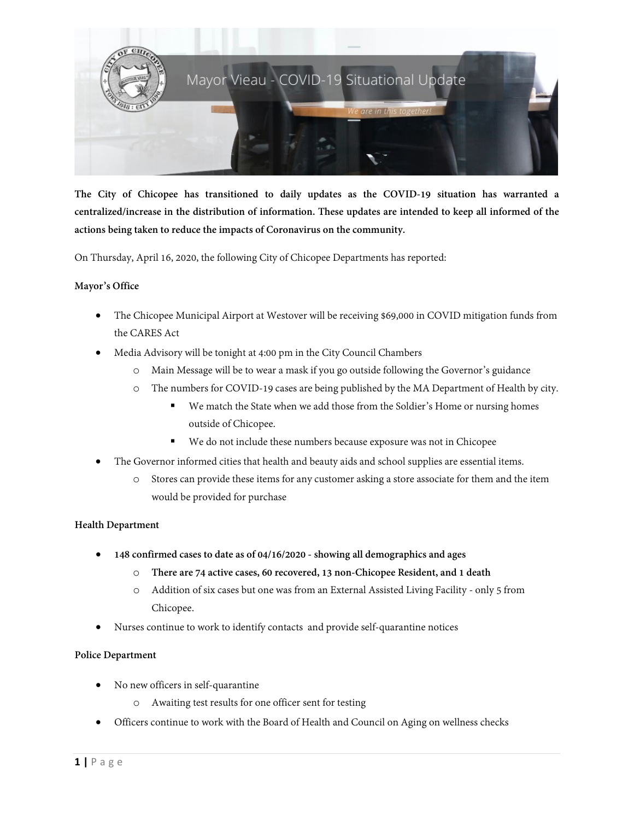

**The City of Chicopee has transitioned to daily updates as the COVID-19 situation has warranted a centralized/increase in the distribution of information. These updates are intended to keep all informed of the actions being taken to reduce the impacts of Coronavirus on the community.**

On Thursday, April 16, 2020, the following City of Chicopee Departments has reported:

## **Mayor's Office**

- The Chicopee Municipal Airport at Westover will be receiving \$69,000 in COVID mitigation funds from the CARES Act
- Media Advisory will be tonight at 4:00 pm in the City Council Chambers
	- o Main Message will be to wear a mask if you go outside following the Governor's guidance
	- o The numbers for COVID-19 cases are being published by the MA Department of Health by city.
		- We match the State when we add those from the Soldier's Home or nursing homes outside of Chicopee.
		- We do not include these numbers because exposure was not in Chicopee
- The Governor informed cities that health and beauty aids and school supplies are essential items.
	- o Stores can provide these items for any customer asking a store associate for them and the item would be provided for purchase

## **Health Department**

- **148 confirmed cases to date as of 04/16/2020 - showing all demographics and ages**
	- o **There are 74 active cases, 60 recovered, 13 non-Chicopee Resident, and 1 death**
	- o Addition of six cases but one was from an External Assisted Living Facility only 5 from Chicopee.
- Nurses continue to work to identify contacts and provide self-quarantine notices

## **Police Department**

- No new officers in self-quarantine
	- o Awaiting test results for one officer sent for testing
- Officers continue to work with the Board of Health and Council on Aging on wellness checks